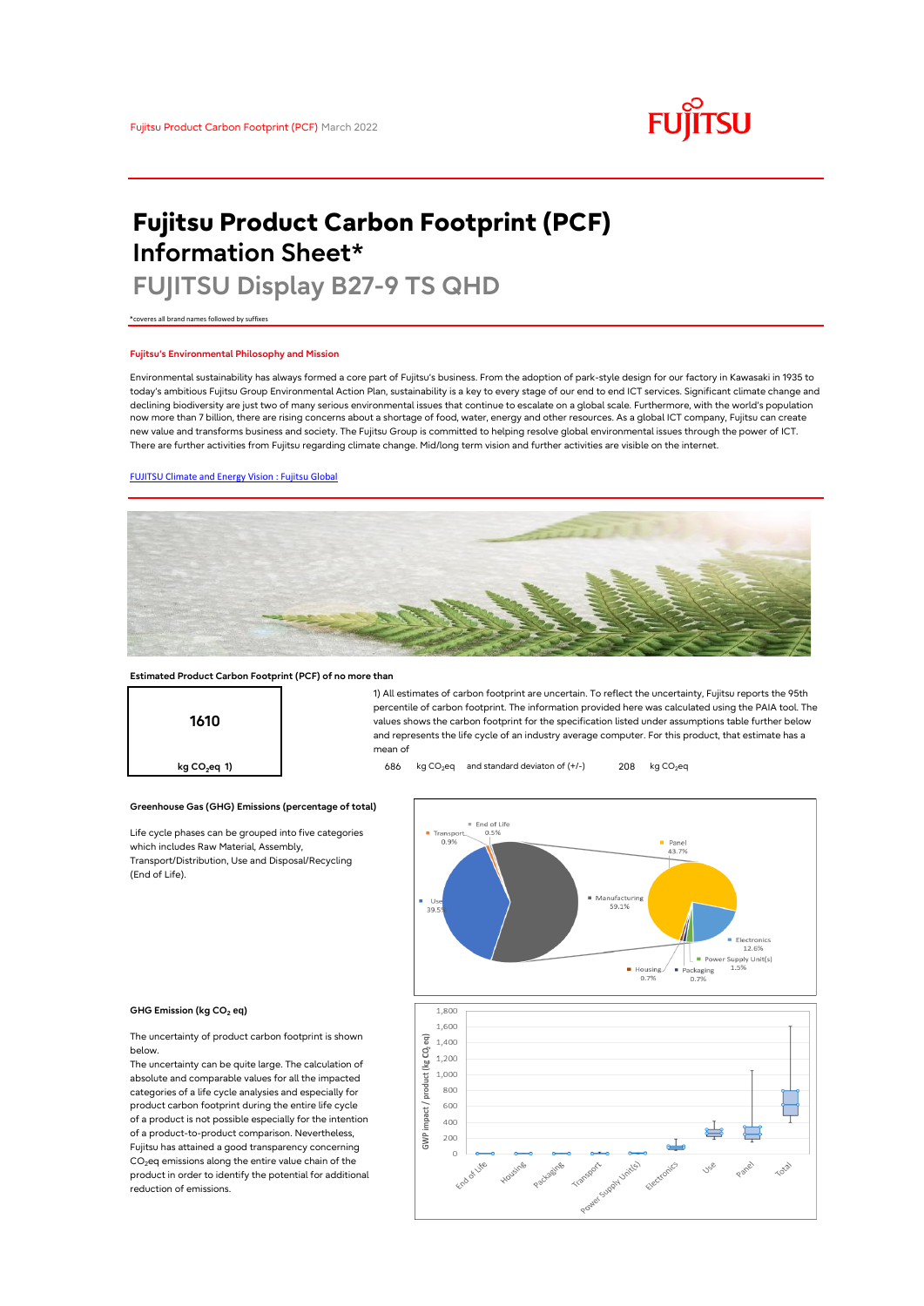# **FUJITSU**

# **Fujitsu Product Carbon Footprint (PCF) Information Sheet\***

# **FUJITSU Display B27-9 TS QHD**

\*coveres all brand names followed by suffixes

## **Fujitsu's Environmental Philosophy and Mission**

Environmental sustainability has always formed a core part of Fujitsu's business. From the adoption of park-style design for our factory in Kawasaki in 1935 to today's ambitious Fujitsu Group Environmental Action Plan, sustainability is a key to every stage of our end to end ICT services. Significant climate change and declining biodiversity are just two of many serious environmental issues that continue to escalate on a global scale. Furthermore, with the world's population now more than 7 billion, there are rising concerns about a shortage of food, water, energy and other resources. As a global ICT company, Fujitsu can create new value and transforms business and society. The Fujitsu Group is committed to helping resolve global environmental issues through the power of ICT. There are further activities from Fujitsu regarding climate change. Mid/long term vision and further activities are visible on the internet.

# [FUJITSU Climate and Energy Vision : Fujitsu Global](https://www.fujitsu.com/global/about/environment/climate-energy-vision/)



mean of

### **Estimated Product Carbon Footprint (PCF) of no more than**



**Greenhouse Gas (GHG) Emissions (percentage of total)**

Life cycle phases can be grouped into five categories which includes Raw Material, Assembly, Transport/Distribution, Use and Disposal/Recycling (End of Life).



1) All estimates of carbon footprint are uncertain. To reflect the uncertainty, Fujitsu reports the 95th percentile of carbon footprint. The information provided here was calculated using the PAIA tool. The values shows the carbon footprint for the specification listed under assumptions table further below and represents the life cycle of an industry average computer. For this product, that estimate has a

#### **GHG Emission (kg CO<sup>2</sup> eq)**

The uncertainty of product carbon footprint is shown below.

The uncertainty can be quite large. The calculation of absolute and comparable values for all the impacted categories of a life cycle analysies and especially for product carbon footprint during the entire life cycle of a product is not possible especially for the intention of a product-to-product comparison. Nevertheless, Fujitsu has attained a good transparency concerning  $CO<sub>2</sub>$ eq emissions along the entire value chain of the product in order to identify the potential for additional reduction of emissions.